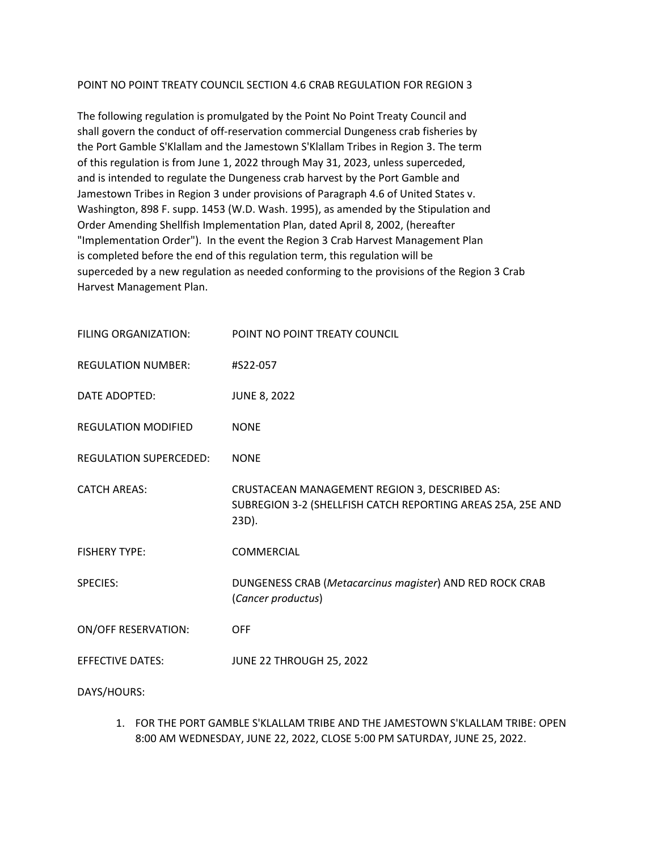#### POINT NO POINT TREATY COUNCIL SECTION 4.6 CRAB REGULATION FOR REGION 3

The following regulation is promulgated by the Point No Point Treaty Council and shall govern the conduct of off-reservation commercial Dungeness crab fisheries by the Port Gamble S'Klallam and the Jamestown S'Klallam Tribes in Region 3. The term of this regulation is from June 1, 2022 through May 31, 2023, unless superceded, and is intended to regulate the Dungeness crab harvest by the Port Gamble and Jamestown Tribes in Region 3 under provisions of Paragraph 4.6 of United States v. Washington, 898 F. supp. 1453 (W.D. Wash. 1995), as amended by the Stipulation and Order Amending Shellfish Implementation Plan, dated April 8, 2002, (hereafter "Implementation Order"). In the event the Region 3 Crab Harvest Management Plan is completed before the end of this regulation term, this regulation will be superceded by a new regulation as needed conforming to the provisions of the Region 3 Crab Harvest Management Plan.

| FILING ORGANIZATION:          | POINT NO POINT TREATY COUNCIL                                                                                         |
|-------------------------------|-----------------------------------------------------------------------------------------------------------------------|
| <b>REGULATION NUMBER:</b>     | #S22-057                                                                                                              |
| DATE ADOPTED:                 | <b>JUNE 8, 2022</b>                                                                                                   |
| <b>REGULATION MODIFIED</b>    | <b>NONE</b>                                                                                                           |
| <b>REGULATION SUPERCEDED:</b> | <b>NONE</b>                                                                                                           |
| <b>CATCH AREAS:</b>           | CRUSTACEAN MANAGEMENT REGION 3, DESCRIBED AS:<br>SUBREGION 3-2 (SHELLFISH CATCH REPORTING AREAS 25A, 25E AND<br>23D). |
| <b>FISHERY TYPE:</b>          | COMMERCIAL                                                                                                            |
| <b>SPECIES:</b>               | DUNGENESS CRAB (Metacarcinus magister) AND RED ROCK CRAB<br>(Cancer productus)                                        |
| <b>ON/OFF RESERVATION:</b>    | <b>OFF</b>                                                                                                            |
| <b>EFFECTIVE DATES:</b>       | JUNE 22 THROUGH 25, 2022                                                                                              |
| DAYS/HOURS:                   |                                                                                                                       |

1. FOR THE PORT GAMBLE S'KLALLAM TRIBE AND THE JAMESTOWN S'KLALLAM TRIBE: OPEN 8:00 AM WEDNESDAY, JUNE 22, 2022, CLOSE 5:00 PM SATURDAY, JUNE 25, 2022.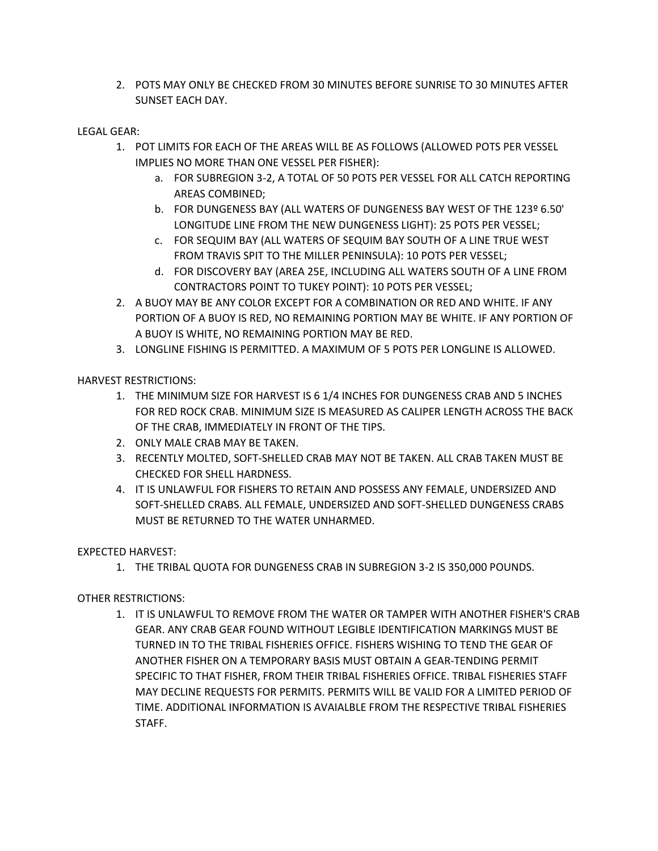2. POTS MAY ONLY BE CHECKED FROM 30 MINUTES BEFORE SUNRISE TO 30 MINUTES AFTER SUNSET EACH DAY.

### LEGAL GEAR:

- 1. POT LIMITS FOR EACH OF THE AREAS WILL BE AS FOLLOWS (ALLOWED POTS PER VESSEL IMPLIES NO MORE THAN ONE VESSEL PER FISHER):
	- a. FOR SUBREGION 3-2, A TOTAL OF 50 POTS PER VESSEL FOR ALL CATCH REPORTING AREAS COMBINED;
	- b. FOR DUNGENESS BAY (ALL WATERS OF DUNGENESS BAY WEST OF THE 123º 6.50' LONGITUDE LINE FROM THE NEW DUNGENESS LIGHT): 25 POTS PER VESSEL;
	- c. FOR SEQUIM BAY (ALL WATERS OF SEQUIM BAY SOUTH OF A LINE TRUE WEST FROM TRAVIS SPIT TO THE MILLER PENINSULA): 10 POTS PER VESSEL;
	- d. FOR DISCOVERY BAY (AREA 25E, INCLUDING ALL WATERS SOUTH OF A LINE FROM CONTRACTORS POINT TO TUKEY POINT): 10 POTS PER VESSEL;
- 2. A BUOY MAY BE ANY COLOR EXCEPT FOR A COMBINATION OR RED AND WHITE. IF ANY PORTION OF A BUOY IS RED, NO REMAINING PORTION MAY BE WHITE. IF ANY PORTION OF A BUOY IS WHITE, NO REMAINING PORTION MAY BE RED.
- 3. LONGLINE FISHING IS PERMITTED. A MAXIMUM OF 5 POTS PER LONGLINE IS ALLOWED.

HARVEST RESTRICTIONS:

- 1. THE MINIMUM SIZE FOR HARVEST IS 6 1/4 INCHES FOR DUNGENESS CRAB AND 5 INCHES FOR RED ROCK CRAB. MINIMUM SIZE IS MEASURED AS CALIPER LENGTH ACROSS THE BACK OF THE CRAB, IMMEDIATELY IN FRONT OF THE TIPS.
- 2. ONLY MALE CRAB MAY BE TAKEN.
- 3. RECENTLY MOLTED, SOFT-SHELLED CRAB MAY NOT BE TAKEN. ALL CRAB TAKEN MUST BE CHECKED FOR SHELL HARDNESS.
- 4. IT IS UNLAWFUL FOR FISHERS TO RETAIN AND POSSESS ANY FEMALE, UNDERSIZED AND SOFT-SHELLED CRABS. ALL FEMALE, UNDERSIZED AND SOFT-SHELLED DUNGENESS CRABS MUST BE RETURNED TO THE WATER UNHARMED.

# EXPECTED HARVEST:

1. THE TRIBAL QUOTA FOR DUNGENESS CRAB IN SUBREGION 3-2 IS 350,000 POUNDS.

# OTHER RESTRICTIONS:

1. IT IS UNLAWFUL TO REMOVE FROM THE WATER OR TAMPER WITH ANOTHER FISHER'S CRAB GEAR. ANY CRAB GEAR FOUND WITHOUT LEGIBLE IDENTIFICATION MARKINGS MUST BE TURNED IN TO THE TRIBAL FISHERIES OFFICE. FISHERS WISHING TO TEND THE GEAR OF ANOTHER FISHER ON A TEMPORARY BASIS MUST OBTAIN A GEAR-TENDING PERMIT SPECIFIC TO THAT FISHER, FROM THEIR TRIBAL FISHERIES OFFICE. TRIBAL FISHERIES STAFF MAY DECLINE REQUESTS FOR PERMITS. PERMITS WILL BE VALID FOR A LIMITED PERIOD OF TIME. ADDITIONAL INFORMATION IS AVAIALBLE FROM THE RESPECTIVE TRIBAL FISHERIES STAFF.